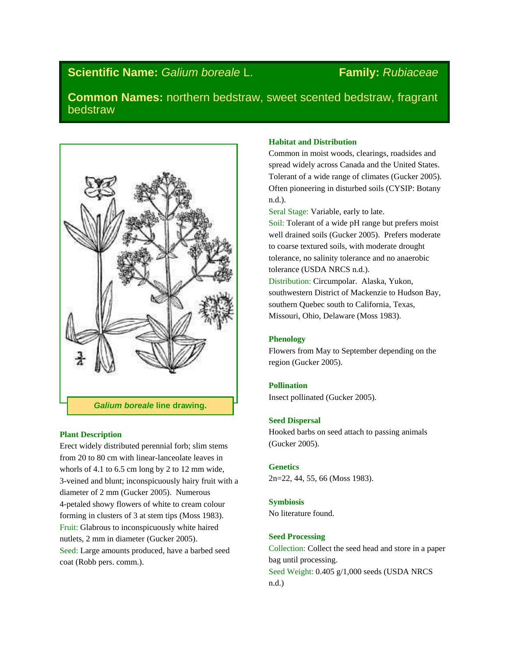# **Scientific Name:** *Galium boreale* L. **Family:** *Rubiaceae*

**Common Names:** northern bedstraw, sweet scented bedstraw, fragrant bedstraw



# **Plant Description**

Erect widely distributed perennial forb; slim stems from 20 to 80 cm with linear-lanceolate leaves in whorls of 4.1 to 6.5 cm long by 2 to 12 mm wide, 3-veined and blunt; inconspicuously hairy fruit with a diameter of 2 mm (Gucker 2005). Numerous 4-petaled showy flowers of white to cream colour forming in clusters of 3 at stem tips (Moss 1983). Fruit: Glabrous to inconspicuously white haired nutlets, 2 mm in diameter (Gucker 2005). Seed: Large amounts produced, have a barbed seed coat (Robb pers. comm.).

# **Habitat and Distribution**

Common in moist woods, clearings, roadsides and spread widely across Canada and the United States. Tolerant of a wide range of climates (Gucker 2005). Often pioneering in disturbed soils (CYSIP: Botany n.d.).

Seral Stage: Variable, early to late.

Soil: Tolerant of a wide pH range but prefers moist well drained soils (Gucker 2005). Prefers moderate to coarse textured soils, with moderate drought tolerance, no salinity tolerance and no anaerobic tolerance (USDA NRCS n.d.).

Distribution: Circumpolar. Alaska, Yukon, southwestern District of Mackenzie to Hudson Bay, southern Quebec south to California, Texas, Missouri, Ohio, Delaware (Moss 1983).

# **Phenology**

Flowers from May to September depending on the region (Gucker 2005).

### **Pollination**

Insect pollinated (Gucker 2005).

# **Seed Dispersal**

Hooked barbs on seed attach to passing animals (Gucker 2005).

#### **Genetics**

2n=22, 44, 55, 66 (Moss 1983).

#### **Symbiosis**

No literature found.

# **Seed Processing**

Collection: Collect the seed head and store in a paper bag until processing. Seed Weight: 0.405 g/1,000 seeds (USDA NRCS n.d.)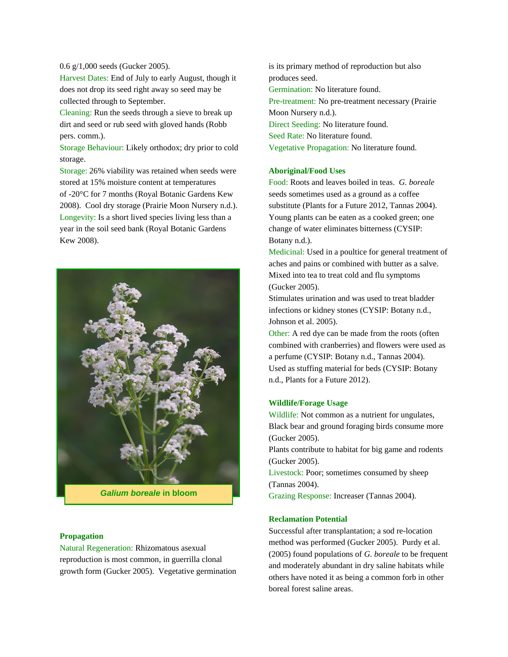#### 0.6 g/1,000 seeds (Gucker 2005).

Harvest Dates: End of July to early August, though it does not drop its seed right away so seed may be collected through to September.

Cleaning: Run the seeds through a sieve to break up dirt and seed or rub seed with gloved hands (Robb pers. comm.).

Storage Behaviour: Likely orthodox; dry prior to cold storage.

Storage: 26% viability was retained when seeds were stored at 15% moisture content at temperatures of -20°C for 7 months (Royal Botanic Gardens Kew 2008). Cool dry storage (Prairie Moon Nursery n.d.). Longevity: Is a short lived species living less than a year in the soil seed bank (Royal Botanic Gardens Kew 2008).



*Galium boreale* **in bloom**

### **Propagation**

Natural Regeneration: Rhizomatous asexual reproduction is most common, in guerrilla clonal growth form (Gucker 2005). Vegetative germination is its primary method of reproduction but also produces seed. Germination: No literature found. Pre-treatment: No pre-treatment necessary (Prairie Moon Nursery n.d.). Direct Seeding: No literature found. Seed Rate: No literature found. Vegetative Propagation: No literature found.

### **Aboriginal/Food Uses**

Food: Roots and leaves boiled in teas. *G. boreale* seeds sometimes used as a ground as a coffee substitute (Plants for a Future 2012, Tannas 2004). Young plants can be eaten as a cooked green; one change of water eliminates bitterness (CYSIP: Botany n.d.).

Medicinal: Used in a poultice for general treatment of aches and pains or combined with butter as a salve. Mixed into tea to treat cold and flu symptoms (Gucker 2005).

Stimulates urination and was used to treat bladder infections or kidney stones (CYSIP: Botany n.d., Johnson et al. 2005).

Other: A red dye can be made from the roots (often combined with cranberries) and flowers were used as a perfume (CYSIP: Botany n.d., Tannas 2004). Used as stuffing material for beds (CYSIP: Botany n.d., Plants for a Future 2012).

### **Wildlife/Forage Usage**

Wildlife: Not common as a nutrient for ungulates, Black bear and ground foraging birds consume more (Gucker 2005).

Plants contribute to habitat for big game and rodents (Gucker 2005).

Livestock: Poor; sometimes consumed by sheep (Tannas 2004).

Grazing Response: Increaser (Tannas 2004).

# **Reclamation Potential**

Successful after transplantation; a sod re-location method was performed (Gucker 2005). Purdy et al. (2005) found populations of *G. boreale* to be frequent and moderately abundant in dry saline habitats while others have noted it as being a common forb in other boreal forest saline areas.